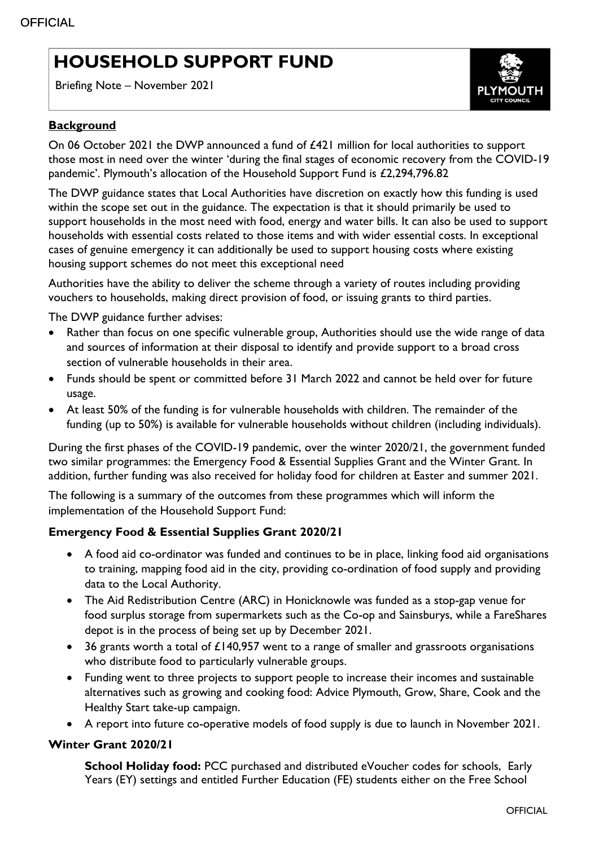# **HOUSEHOLD SUPPORT FUND**

Briefing Note – November 2021



## **Background**

On 06 October 2021 the DWP announced a fund of £421 million for local authorities to support those most in need over the winter 'during the final stages of economic recovery from the COVID-19 pandemic'. Plymouth's allocation of the Household Support Fund is £2,294,796.82

The DWP guidance states that Local Authorities have discretion on exactly how this funding is used within the scope set out in the guidance. The expectation is that it should primarily be used to support households in the most need with food, energy and water bills. It can also be used to support households with essential costs related to those items and with wider essential costs. In exceptional cases of genuine emergency it can additionally be used to support housing costs where existing housing support schemes do not meet this exceptional need

Authorities have the ability to deliver the scheme through a variety of routes including providing vouchers to households, making direct provision of food, or issuing grants to third parties.

The DWP guidance further advises:

- Rather than focus on one specific vulnerable group, Authorities should use the wide range of data and sources of information at their disposal to identify and provide support to a broad cross section of vulnerable households in their area.
- Funds should be spent or committed before 31 March 2022 and cannot be held over for future usage.
- At least 50% of the funding is for vulnerable households with children. The remainder of the funding (up to 50%) is available for vulnerable households without children (including individuals).

During the first phases of the COVID-19 pandemic, over the winter 2020/21, the government funded two similar programmes: the Emergency Food & Essential Supplies Grant and the Winter Grant. In addition, further funding was also received for holiday food for children at Easter and summer 2021.

The following is a summary of the outcomes from these programmes which will inform the implementation of the Household Support Fund:

## **Emergency Food & Essential Supplies Grant 2020/21**

- A food aid co-ordinator was funded and continues to be in place, linking food aid organisations to training, mapping food aid in the city, providing co-ordination of food supply and providing data to the Local Authority.
- The Aid Redistribution Centre (ARC) in Honicknowle was funded as a stop-gap venue for food surplus storage from supermarkets such as the Co-op and Sainsburys, while a FareShares depot is in the process of being set up by December 2021.
- 36 grants worth a total of £140,957 went to a range of smaller and grassroots organisations who distribute food to particularly vulnerable groups.
- Funding went to three projects to support people to increase their incomes and sustainable alternatives such as growing and cooking food: Advice Plymouth, Grow, Share, Cook and the Healthy Start take-up campaign.
- A report into future co-operative models of food supply is due to launch in November 2021.

## **Winter Grant 2020/21**

**School Holiday food:** PCC purchased and distributed eVoucher codes for schools, Early Years (EY) settings and entitled Further Education (FE) students either on the Free School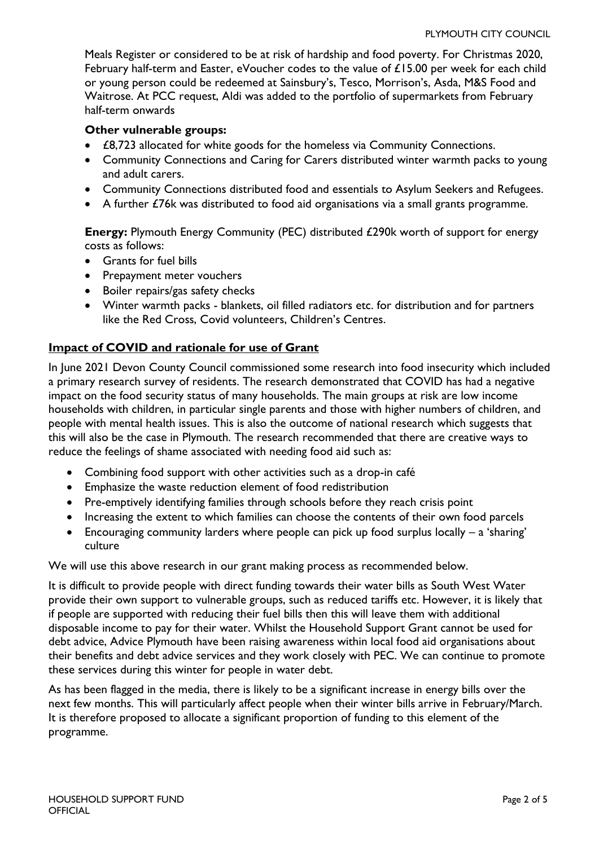Meals Register or considered to be at risk of hardship and food poverty. For Christmas 2020, February half-term and Easter, eVoucher codes to the value of £15.00 per week for each child or young person could be redeemed at Sainsbury's, Tesco, Morrison's, Asda, M&S Food and Waitrose. At PCC request, Aldi was added to the portfolio of supermarkets from February half-term onwards

#### **Other vulnerable groups:**

- £8,723 allocated for white goods for the homeless via Community Connections.
- Community Connections and Caring for Carers distributed winter warmth packs to young and adult carers.
- Community Connections distributed food and essentials to Asylum Seekers and Refugees.
- A further £76k was distributed to food aid organisations via a small grants programme.

**Energy:** Plymouth Energy Community (PEC) distributed £290k worth of support for energy costs as follows:

- Grants for fuel bills
- Prepayment meter vouchers
- Boiler repairs/gas safety checks
- Winter warmth packs blankets, oil filled radiators etc. for distribution and for partners like the Red Cross, Covid volunteers, Children's Centres.

## **Impact of COVID and rationale for use of Grant**

In June 2021 Devon County Council commissioned some research into food insecurity which included a primary research survey of residents. The research demonstrated that COVID has had a negative impact on the food security status of many households. The main groups at risk are low income households with children, in particular single parents and those with higher numbers of children, and people with mental health issues. This is also the outcome of national research which suggests that this will also be the case in Plymouth. The research recommended that there are creative ways to reduce the feelings of shame associated with needing food aid such as:

- Combining food support with other activities such as a drop-in café
- Emphasize the waste reduction element of food redistribution
- Pre-emptively identifying families through schools before they reach crisis point
- Increasing the extent to which families can choose the contents of their own food parcels
- Encouraging community larders where people can pick up food surplus locally a 'sharing' culture

We will use this above research in our grant making process as recommended below.

It is difficult to provide people with direct funding towards their water bills as South West Water provide their own support to vulnerable groups, such as reduced tariffs etc. However, it is likely that if people are supported with reducing their fuel bills then this will leave them with additional disposable income to pay for their water. Whilst the Household Support Grant cannot be used for debt advice, Advice Plymouth have been raising awareness within local food aid organisations about their benefits and debt advice services and they work closely with PEC. We can continue to promote these services during this winter for people in water debt.

As has been flagged in the media, there is likely to be a significant increase in energy bills over the next few months. This will particularly affect people when their winter bills arrive in February/March. It is therefore proposed to allocate a significant proportion of funding to this element of the programme.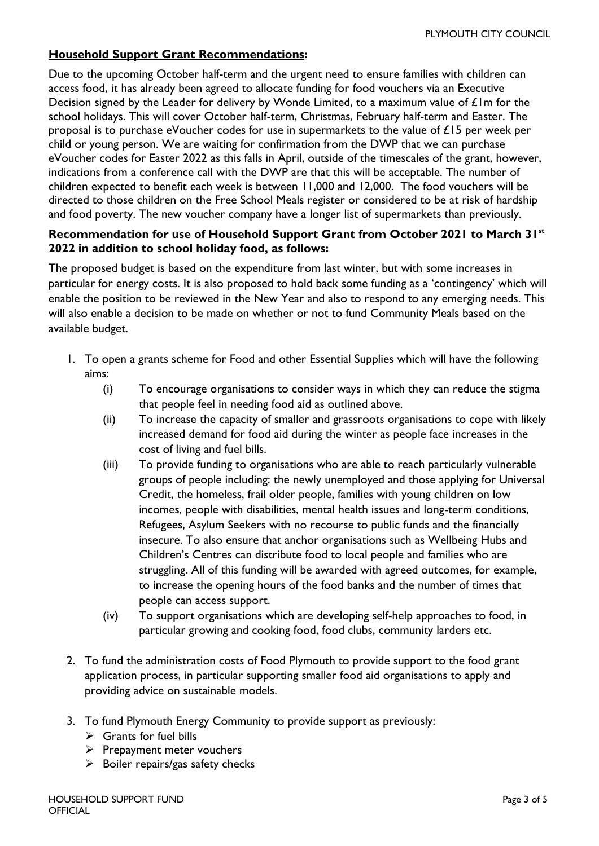# **Household Support Grant Recommendations:**

Due to the upcoming October half-term and the urgent need to ensure families with children can access food, it has already been agreed to allocate funding for food vouchers via an Executive Decision signed by the Leader for delivery by Wonde Limited, to a maximum value of £1m for the school holidays. This will cover October half-term, Christmas, February half-term and Easter. The proposal is to purchase eVoucher codes for use in supermarkets to the value of £15 per week per child or young person. We are waiting for confirmation from the DWP that we can purchase eVoucher codes for Easter 2022 as this falls in April, outside of the timescales of the grant, however, indications from a conference call with the DWP are that this will be acceptable. The number of children expected to benefit each week is between 11,000 and 12,000. The food vouchers will be directed to those children on the Free School Meals register or considered to be at risk of hardship and food poverty. The new voucher company have a longer list of supermarkets than previously.

## **Recommendation for use of Household Support Grant from October 2021 to March 31st 2022 in addition to school holiday food, as follows:**

The proposed budget is based on the expenditure from last winter, but with some increases in particular for energy costs. It is also proposed to hold back some funding as a 'contingency' which will enable the position to be reviewed in the New Year and also to respond to any emerging needs. This will also enable a decision to be made on whether or not to fund Community Meals based on the available budget.

- 1. To open a grants scheme for Food and other Essential Supplies which will have the following aims:
	- (i) To encourage organisations to consider ways in which they can reduce the stigma that people feel in needing food aid as outlined above.
	- (ii) To increase the capacity of smaller and grassroots organisations to cope with likely increased demand for food aid during the winter as people face increases in the cost of living and fuel bills.
	- (iii) To provide funding to organisations who are able to reach particularly vulnerable groups of people including: the newly unemployed and those applying for Universal Credit, the homeless, frail older people, families with young children on low incomes, people with disabilities, mental health issues and long-term conditions, Refugees, Asylum Seekers with no recourse to public funds and the financially insecure. To also ensure that anchor organisations such as Wellbeing Hubs and Children's Centres can distribute food to local people and families who are struggling. All of this funding will be awarded with agreed outcomes, for example, to increase the opening hours of the food banks and the number of times that people can access support.
	- (iv) To support organisations which are developing self-help approaches to food, in particular growing and cooking food, food clubs, community larders etc.
- 2. To fund the administration costs of Food Plymouth to provide support to the food grant application process, in particular supporting smaller food aid organisations to apply and providing advice on sustainable models.
- 3. To fund Plymouth Energy Community to provide support as previously:
	- $\triangleright$  Grants for fuel bills
	- $\triangleright$  Prepayment meter vouchers
	- $\triangleright$  Boiler repairs/gas safety checks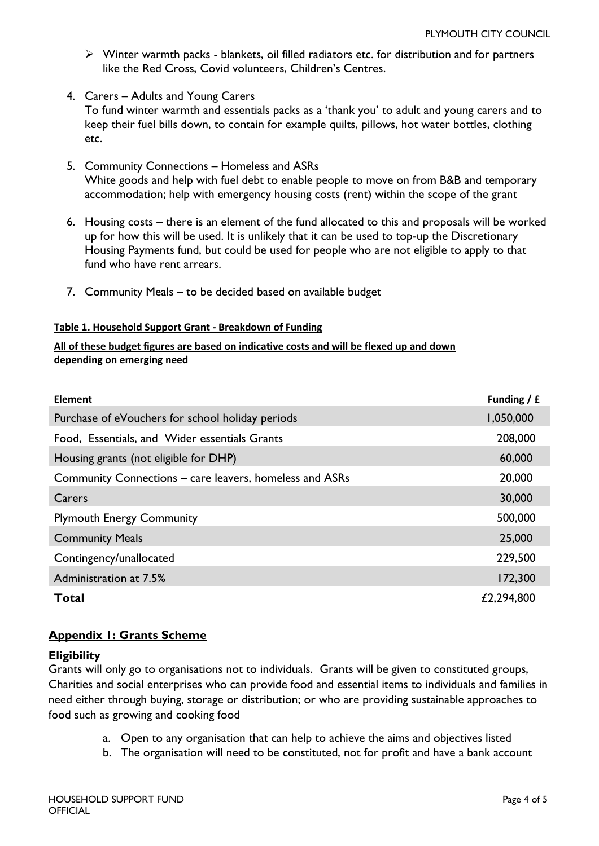- $\triangleright$  Winter warmth packs blankets, oil filled radiators etc. for distribution and for partners like the Red Cross, Covid volunteers, Children's Centres.
- 4. Carers Adults and Young Carers To fund winter warmth and essentials packs as a 'thank you' to adult and young carers and to keep their fuel bills down, to contain for example quilts, pillows, hot water bottles, clothing etc.
- 5. Community Connections Homeless and ASRs White goods and help with fuel debt to enable people to move on from B&B and temporary accommodation; help with emergency housing costs (rent) within the scope of the grant
- 6. Housing costs there is an element of the fund allocated to this and proposals will be worked up for how this will be used. It is unlikely that it can be used to top-up the Discretionary Housing Payments fund, but could be used for people who are not eligible to apply to that fund who have rent arrears.
- 7. Community Meals to be decided based on available budget

#### **Table 1. Household Support Grant - Breakdown of Funding**

#### **All of these budget figures are based on indicative costs and will be flexed up and down depending on emerging need**

| <b>Element</b>                                          | Funding $/ f$ |
|---------------------------------------------------------|---------------|
| Purchase of eVouchers for school holiday periods        | 1,050,000     |
| Food, Essentials, and Wider essentials Grants           | 208,000       |
| Housing grants (not eligible for DHP)                   | 60,000        |
| Community Connections – care leavers, homeless and ASRs | 20,000        |
| Carers                                                  | 30,000        |
| <b>Plymouth Energy Community</b>                        | 500,000       |
| <b>Community Meals</b>                                  | 25,000        |
| Contingency/unallocated                                 | 229,500       |
| Administration at 7.5%                                  | 172,300       |
| <b>Total</b>                                            | £2,294,800    |

## **Appendix 1: Grants Scheme**

#### **Eligibility**

Grants will only go to organisations not to individuals. Grants will be given to constituted groups, Charities and social enterprises who can provide food and essential items to individuals and families in need either through buying, storage or distribution; or who are providing sustainable approaches to food such as growing and cooking food

- a. Open to any organisation that can help to achieve the aims and objectives listed
- b. The organisation will need to be constituted, not for profit and have a bank account